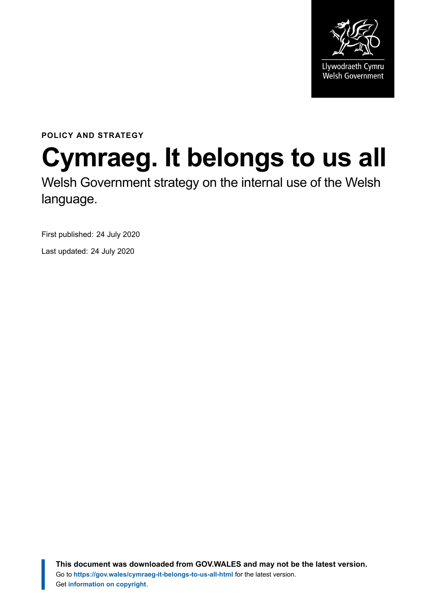

**POLICY AND STRATEGY**

# **Cymraeg. It belongs to us all**

Welsh Government strategy on the internal use of the Welsh language.

First published: 24 July 2020

Last updated: 24 July 2020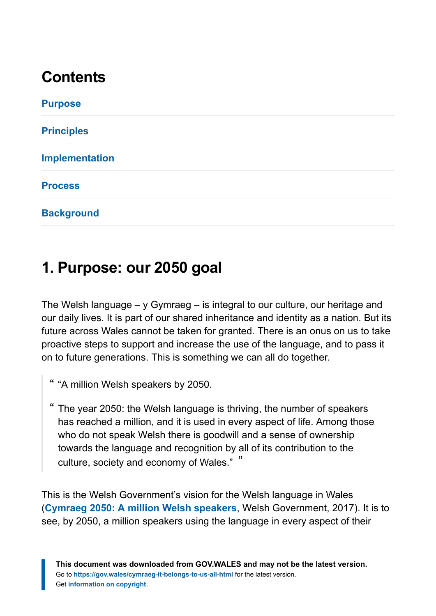# **Contents**

| <b>Purpose</b>        |  |  |
|-----------------------|--|--|
| <b>Principles</b>     |  |  |
| <b>Implementation</b> |  |  |
| <b>Process</b>        |  |  |
| <b>Background</b>     |  |  |

# <span id="page-1-0"></span>**1. Purpose: our 2050 goal**

The Welsh language – y Gymraeg – is integral to our culture, our heritage and our daily lives. It is part of our shared inheritance and identity as a nation. But its future across Wales cannot be taken for granted. There is an onus on us to take proactive steps to support and increase the use of the language, and to pass it on to future generations. This is something we can all do together.

- " "A million Welsh speakers by 2050.
- " The year 2050: the Welsh language is thriving, the number of speakers has reached a million, and it is used in every aspect of life. Among those who do not speak Welsh there is goodwill and a sense of ownership towards the language and recognition by all of its contribution to the culture, society and economy of Wales." "

This is the Welsh Government's vision for the Welsh language in Wales (**[Cymraeg 2050: A million Welsh speakers](https://gov.wales/cymraeg-2050-welsh-language-strategy)**, Welsh Government, 2017). It is to see, by 2050, a million speakers using the language in every aspect of their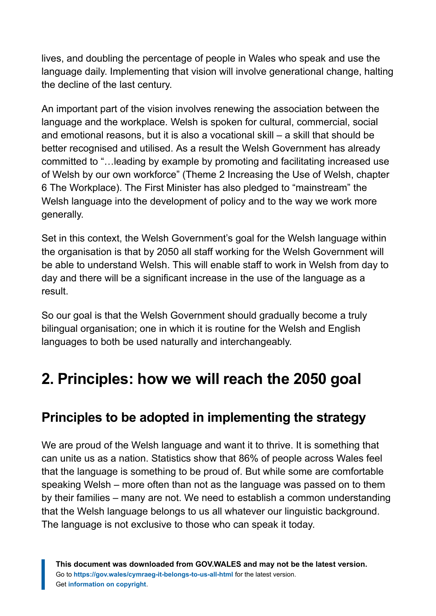lives, and doubling the percentage of people in Wales who speak and use the language daily. Implementing that vision will involve generational change, halting the decline of the last century.

An important part of the vision involves renewing the association between the language and the workplace. Welsh is spoken for cultural, commercial, social and emotional reasons, but it is also a vocational skill – a skill that should be better recognised and utilised. As a result the Welsh Government has already committed to "…leading by example by promoting and facilitating increased use of Welsh by our own workforce" (Theme 2 Increasing the Use of Welsh, chapter 6 The Workplace). The First Minister has also pledged to "mainstream" the Welsh language into the development of policy and to the way we work more generally.

Set in this context, the Welsh Government's goal for the Welsh language within the organisation is that by 2050 all staff working for the Welsh Government will be able to understand Welsh. This will enable staff to work in Welsh from day to day and there will be a significant increase in the use of the language as a result.

So our goal is that the Welsh Government should gradually become a truly bilingual organisation; one in which it is routine for the Welsh and English languages to both be used naturally and interchangeably.

# <span id="page-2-0"></span>**2. Principles: how we will reach the 2050 goal**

#### **Principles to be adopted in implementing the strategy**

We are proud of the Welsh language and want it to thrive. It is something that can unite us as a nation. Statistics show that 86% of people across Wales feel that the language is something to be proud of. But while some are comfortable speaking Welsh – more often than not as the language was passed on to them by their families – many are not. We need to establish a common understanding that the Welsh language belongs to us all whatever our linguistic background. The language is not exclusive to those who can speak it today.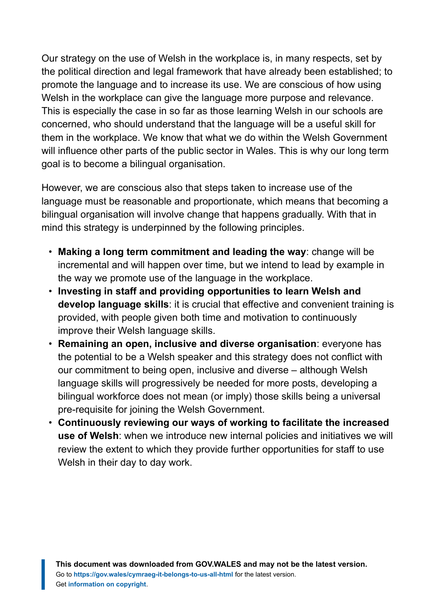Our strategy on the use of Welsh in the workplace is, in many respects, set by the political direction and legal framework that have already been established; to promote the language and to increase its use. We are conscious of how using Welsh in the workplace can give the language more purpose and relevance. This is especially the case in so far as those learning Welsh in our schools are concerned, who should understand that the language will be a useful skill for them in the workplace. We know that what we do within the Welsh Government will influence other parts of the public sector in Wales. This is why our long term goal is to become a bilingual organisation.

However, we are conscious also that steps taken to increase use of the language must be reasonable and proportionate, which means that becoming a bilingual organisation will involve change that happens gradually. With that in mind this strategy is underpinned by the following principles.

- **Making a long term commitment and leading the way**: change will be incremental and will happen over time, but we intend to lead by example in the way we promote use of the language in the workplace.
- **Investing in staff and providing opportunities to learn Welsh and develop language skills**: it is crucial that effective and convenient training is provided, with people given both time and motivation to continuously improve their Welsh language skills.
- **Remaining an open, inclusive and diverse organisation**: everyone has the potential to be a Welsh speaker and this strategy does not conflict with our commitment to being open, inclusive and diverse – although Welsh language skills will progressively be needed for more posts, developing a bilingual workforce does not mean (or imply) those skills being a universal pre-requisite for joining the Welsh Government.
- **Continuously reviewing our ways of working to facilitate the increased use of Welsh**: when we introduce new internal policies and initiatives we will review the extent to which they provide further opportunities for staff to use Welsh in their day to day work.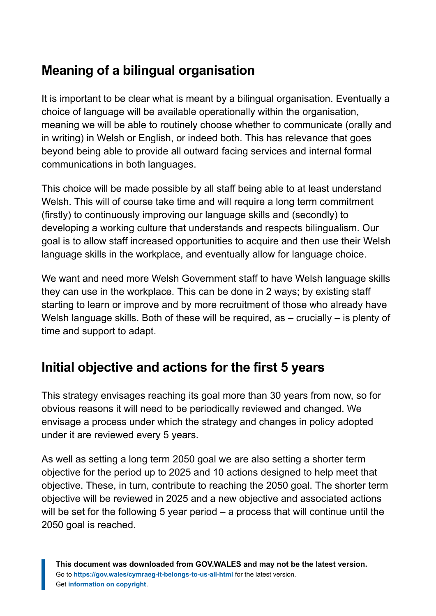## **Meaning of a bilingual organisation**

It is important to be clear what is meant by a bilingual organisation. Eventually a choice of language will be available operationally within the organisation, meaning we will be able to routinely choose whether to communicate (orally and in writing) in Welsh or English, or indeed both. This has relevance that goes beyond being able to provide all outward facing services and internal formal communications in both languages.

This choice will be made possible by all staff being able to at least understand Welsh. This will of course take time and will require a long term commitment (firstly) to continuously improving our language skills and (secondly) to developing a working culture that understands and respects bilingualism. Our goal is to allow staff increased opportunities to acquire and then use their Welsh language skills in the workplace, and eventually allow for language choice.

We want and need more Welsh Government staff to have Welsh language skills they can use in the workplace. This can be done in 2 ways; by existing staff starting to learn or improve and by more recruitment of those who already have Welsh language skills. Both of these will be required, as – crucially – is plenty of time and support to adapt.

## **Initial objective and actions for the first 5 years**

This strategy envisages reaching its goal more than 30 years from now, so for obvious reasons it will need to be periodically reviewed and changed. We envisage a process under which the strategy and changes in policy adopted under it are reviewed every 5 years.

As well as setting a long term 2050 goal we are also setting a shorter term objective for the period up to 2025 and 10 actions designed to help meet that objective. These, in turn, contribute to reaching the 2050 goal. The shorter term objective will be reviewed in 2025 and a new objective and associated actions will be set for the following 5 year period – a process that will continue until the 2050 goal is reached.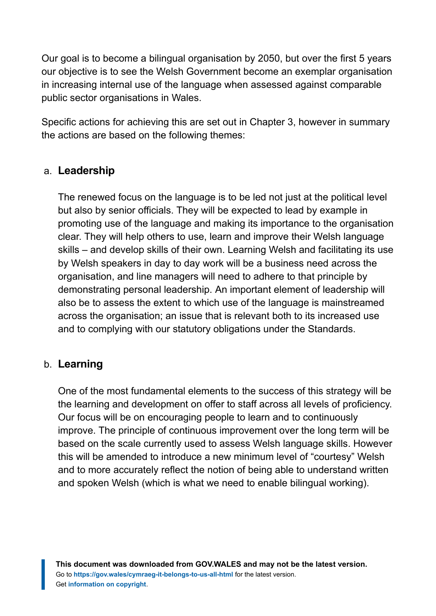Our goal is to become a bilingual organisation by 2050, but over the first 5 years our objective is to see the Welsh Government become an exemplar organisation in increasing internal use of the language when assessed against comparable public sector organisations in Wales.

Specific actions for achieving this are set out in Chapter 3, however in summary the actions are based on the following themes:

#### a. **Leadership**

The renewed focus on the language is to be led not just at the political level but also by senior officials. They will be expected to lead by example in promoting use of the language and making its importance to the organisation clear. They will help others to use, learn and improve their Welsh language skills – and develop skills of their own. Learning Welsh and facilitating its use by Welsh speakers in day to day work will be a business need across the organisation, and line managers will need to adhere to that principle by demonstrating personal leadership. An important element of leadership will also be to assess the extent to which use of the language is mainstreamed across the organisation; an issue that is relevant both to its increased use and to complying with our statutory obligations under the Standards.

#### b. **Learning**

One of the most fundamental elements to the success of this strategy will be the learning and development on offer to staff across all levels of proficiency. Our focus will be on encouraging people to learn and to continuously improve. The principle of continuous improvement over the long term will be based on the scale currently used to assess Welsh language skills. However this will be amended to introduce a new minimum level of "courtesy" Welsh and to more accurately reflect the notion of being able to understand written and spoken Welsh (which is what we need to enable bilingual working).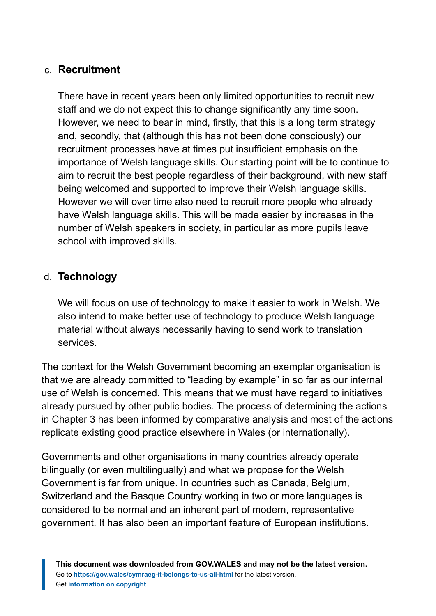#### c. **Recruitment**

There have in recent years been only limited opportunities to recruit new staff and we do not expect this to change significantly any time soon. However, we need to bear in mind, firstly, that this is a long term strategy and, secondly, that (although this has not been done consciously) our recruitment processes have at times put insufficient emphasis on the importance of Welsh language skills. Our starting point will be to continue to aim to recruit the best people regardless of their background, with new staff being welcomed and supported to improve their Welsh language skills. However we will over time also need to recruit more people who already have Welsh language skills. This will be made easier by increases in the number of Welsh speakers in society, in particular as more pupils leave school with improved skills.

#### d. **Technology**

We will focus on use of technology to make it easier to work in Welsh. We also intend to make better use of technology to produce Welsh language material without always necessarily having to send work to translation services.

The context for the Welsh Government becoming an exemplar organisation is that we are already committed to "leading by example" in so far as our internal use of Welsh is concerned. This means that we must have regard to initiatives already pursued by other public bodies. The process of determining the actions in Chapter 3 has been informed by comparative analysis and most of the actions replicate existing good practice elsewhere in Wales (or internationally).

Governments and other organisations in many countries already operate bilingually (or even multilingually) and what we propose for the Welsh Government is far from unique. In countries such as Canada, Belgium, Switzerland and the Basque Country working in two or more languages is considered to be normal and an inherent part of modern, representative government. It has also been an important feature of European institutions.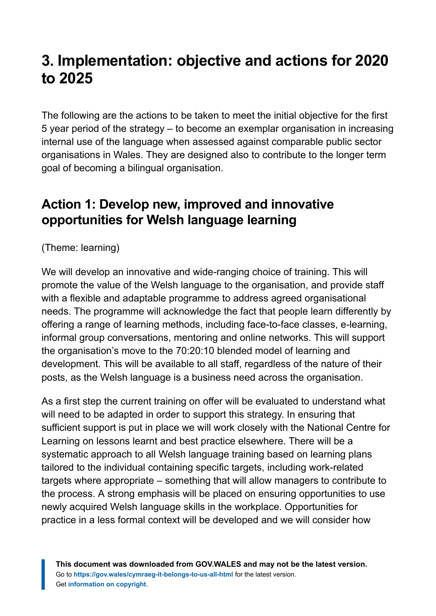# <span id="page-7-0"></span>**3. Implementation: objective and actions for 2020 to 2025**

The following are the actions to be taken to meet the initial objective for the first 5 year period of the strategy – to become an exemplar organisation in increasing internal use of the language when assessed against comparable public sector organisations in Wales. They are designed also to contribute to the longer term goal of becoming a bilingual organisation.

#### **Action 1: Develop new, improved and innovative opportunities for Welsh language learning**

(Theme: learning)

We will develop an innovative and wide-ranging choice of training. This will promote the value of the Welsh language to the organisation, and provide staff with a flexible and adaptable programme to address agreed organisational needs. The programme will acknowledge the fact that people learn differently by offering a range of learning methods, including face-to-face classes, e-learning, informal group conversations, mentoring and online networks. This will support the organisation's move to the 70:20:10 blended model of learning and development. This will be available to all staff, regardless of the nature of their posts, as the Welsh language is a business need across the organisation.

As a first step the current training on offer will be evaluated to understand what will need to be adapted in order to support this strategy. In ensuring that sufficient support is put in place we will work closely with the National Centre for Learning on lessons learnt and best practice elsewhere. There will be a systematic approach to all Welsh language training based on learning plans tailored to the individual containing specific targets, including work-related targets where appropriate – something that will allow managers to contribute to the process. A strong emphasis will be placed on ensuring opportunities to use newly acquired Welsh language skills in the workplace. Opportunities for practice in a less formal context will be developed and we will consider how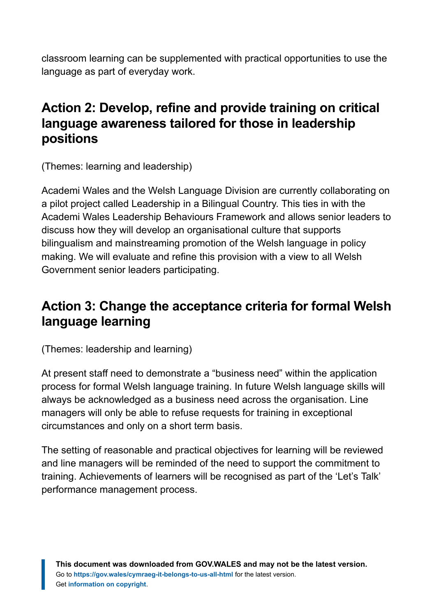classroom learning can be supplemented with practical opportunities to use the language as part of everyday work.

#### **Action 2: Develop, refine and provide training on critical language awareness tailored for those in leadership positions**

(Themes: learning and leadership)

Academi Wales and the Welsh Language Division are currently collaborating on a pilot project called Leadership in a Bilingual Country. This ties in with the Academi Wales Leadership Behaviours Framework and allows senior leaders to discuss how they will develop an organisational culture that supports bilingualism and mainstreaming promotion of the Welsh language in policy making. We will evaluate and refine this provision with a view to all Welsh Government senior leaders participating.

## **Action 3: Change the acceptance criteria for formal Welsh language learning**

(Themes: leadership and learning)

At present staff need to demonstrate a "business need" within the application process for formal Welsh language training. In future Welsh language skills will always be acknowledged as a business need across the organisation. Line managers will only be able to refuse requests for training in exceptional circumstances and only on a short term basis.

The setting of reasonable and practical objectives for learning will be reviewed and line managers will be reminded of the need to support the commitment to training. Achievements of learners will be recognised as part of the 'Let's Talk' performance management process.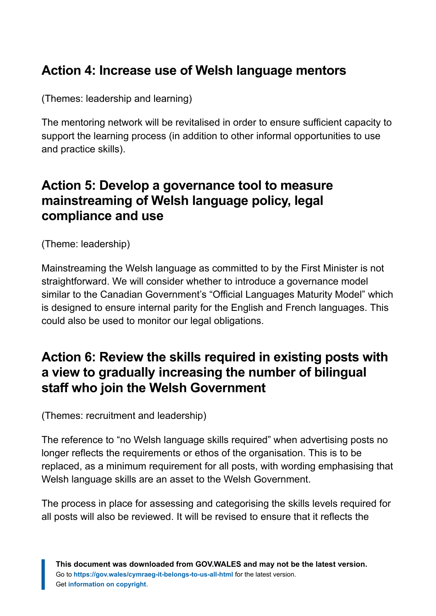#### **Action 4: Increase use of Welsh language mentors**

(Themes: leadership and learning)

The mentoring network will be revitalised in order to ensure sufficient capacity to support the learning process (in addition to other informal opportunities to use and practice skills).

#### **Action 5: Develop a governance tool to measure mainstreaming of Welsh language policy, legal compliance and use**

(Theme: leadership)

Mainstreaming the Welsh language as committed to by the First Minister is not straightforward. We will consider whether to introduce a governance model similar to the Canadian Government's "Official Languages Maturity Model" which is designed to ensure internal parity for the English and French languages. This could also be used to monitor our legal obligations.

#### **Action 6: Review the skills required in existing posts with a view to gradually increasing the number of bilingual staff who join the Welsh Government**

(Themes: recruitment and leadership)

The reference to "no Welsh language skills required" when advertising posts no longer reflects the requirements or ethos of the organisation. This is to be replaced, as a minimum requirement for all posts, with wording emphasising that Welsh language skills are an asset to the Welsh Government.

The process in place for assessing and categorising the skills levels required for all posts will also be reviewed. It will be revised to ensure that it reflects the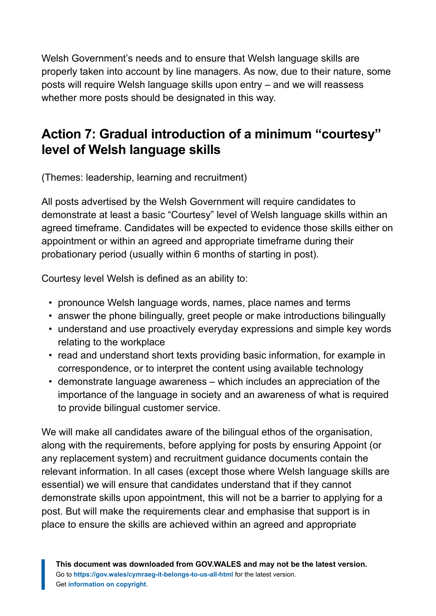Welsh Government's needs and to ensure that Welsh language skills are properly taken into account by line managers. As now, due to their nature, some posts will require Welsh language skills upon entry – and we will reassess whether more posts should be designated in this way.

#### **Action 7: Gradual introduction of a minimum "courtesy" level of Welsh language skills**

(Themes: leadership, learning and recruitment)

All posts advertised by the Welsh Government will require candidates to demonstrate at least a basic "Courtesy" level of Welsh language skills within an agreed timeframe. Candidates will be expected to evidence those skills either on appointment or within an agreed and appropriate timeframe during their probationary period (usually within 6 months of starting in post).

Courtesy level Welsh is defined as an ability to:

- pronounce Welsh language words, names, place names and terms
- answer the phone bilingually, greet people or make introductions bilingually
- understand and use proactively everyday expressions and simple key words relating to the workplace
- read and understand short texts providing basic information, for example in correspondence, or to interpret the content using available technology
- demonstrate language awareness which includes an appreciation of the importance of the language in society and an awareness of what is required to provide bilingual customer service.

We will make all candidates aware of the bilingual ethos of the organisation, along with the requirements, before applying for posts by ensuring Appoint (or any replacement system) and recruitment guidance documents contain the relevant information. In all cases (except those where Welsh language skills are essential) we will ensure that candidates understand that if they cannot demonstrate skills upon appointment, this will not be a barrier to applying for a post. But will make the requirements clear and emphasise that support is in place to ensure the skills are achieved within an agreed and appropriate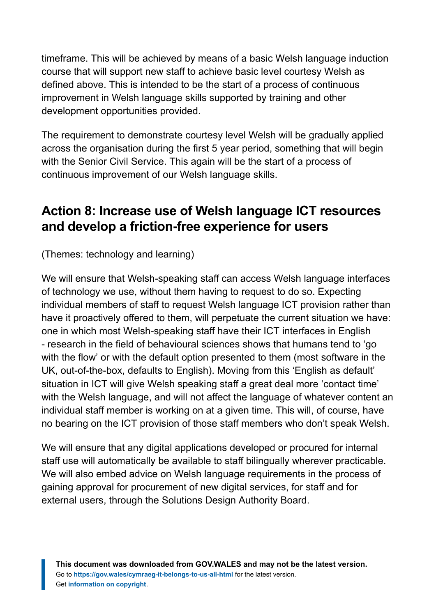timeframe. This will be achieved by means of a basic Welsh language induction course that will support new staff to achieve basic level courtesy Welsh as defined above. This is intended to be the start of a process of continuous improvement in Welsh language skills supported by training and other development opportunities provided.

The requirement to demonstrate courtesy level Welsh will be gradually applied across the organisation during the first 5 year period, something that will begin with the Senior Civil Service. This again will be the start of a process of continuous improvement of our Welsh language skills.

#### **Action 8: Increase use of Welsh language ICT resources and develop a friction-free experience for users**

(Themes: technology and learning)

We will ensure that Welsh-speaking staff can access Welsh language interfaces of technology we use, without them having to request to do so. Expecting individual members of staff to request Welsh language ICT provision rather than have it proactively offered to them, will perpetuate the current situation we have: one in which most Welsh-speaking staff have their ICT interfaces in English - research in the field of behavioural sciences shows that humans tend to 'go with the flow' or with the default option presented to them (most software in the UK, out-of-the-box, defaults to English). Moving from this 'English as default' situation in ICT will give Welsh speaking staff a great deal more 'contact time' with the Welsh language, and will not affect the language of whatever content an individual staff member is working on at a given time. This will, of course, have no bearing on the ICT provision of those staff members who don't speak Welsh.

We will ensure that any digital applications developed or procured for internal staff use will automatically be available to staff bilingually wherever practicable. We will also embed advice on Welsh language requirements in the process of gaining approval for procurement of new digital services, for staff and for external users, through the Solutions Design Authority Board.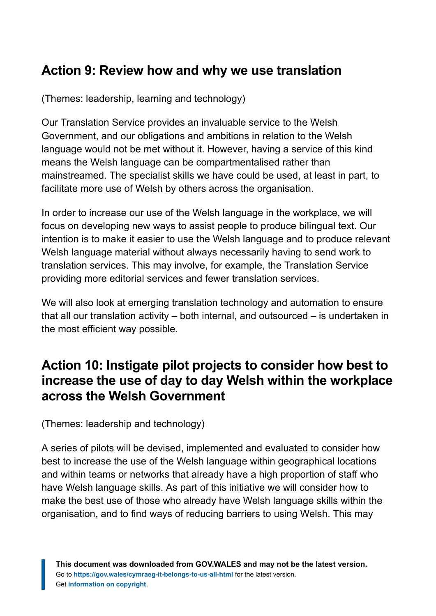#### **Action 9: Review how and why we use translation**

(Themes: leadership, learning and technology)

Our Translation Service provides an invaluable service to the Welsh Government, and our obligations and ambitions in relation to the Welsh language would not be met without it. However, having a service of this kind means the Welsh language can be compartmentalised rather than mainstreamed. The specialist skills we have could be used, at least in part, to facilitate more use of Welsh by others across the organisation.

In order to increase our use of the Welsh language in the workplace, we will focus on developing new ways to assist people to produce bilingual text. Our intention is to make it easier to use the Welsh language and to produce relevant Welsh language material without always necessarily having to send work to translation services. This may involve, for example, the Translation Service providing more editorial services and fewer translation services.

We will also look at emerging translation technology and automation to ensure that all our translation activity – both internal, and outsourced – is undertaken in the most efficient way possible.

#### **Action 10: Instigate pilot projects to consider how best to increase the use of day to day Welsh within the workplace across the Welsh Government**

(Themes: leadership and technology)

A series of pilots will be devised, implemented and evaluated to consider how best to increase the use of the Welsh language within geographical locations and within teams or networks that already have a high proportion of staff who have Welsh language skills. As part of this initiative we will consider how to make the best use of those who already have Welsh language skills within the organisation, and to find ways of reducing barriers to using Welsh. This may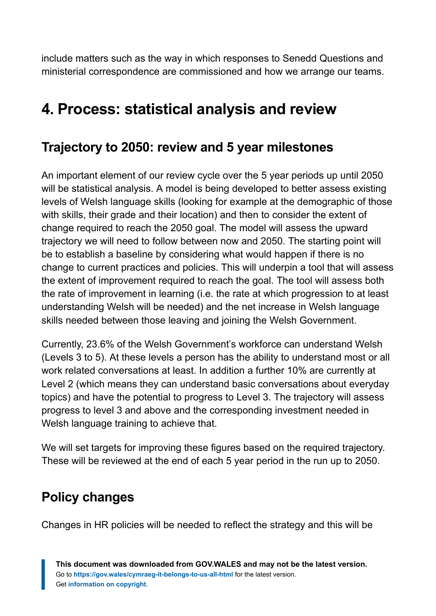include matters such as the way in which responses to Senedd Questions and ministerial correspondence are commissioned and how we arrange our teams.

# <span id="page-13-0"></span>**4. Process: statistical analysis and review**

#### **Trajectory to 2050: review and 5 year milestones**

An important element of our review cycle over the 5 year periods up until 2050 will be statistical analysis. A model is being developed to better assess existing levels of Welsh language skills (looking for example at the demographic of those with skills, their grade and their location) and then to consider the extent of change required to reach the 2050 goal. The model will assess the upward trajectory we will need to follow between now and 2050. The starting point will be to establish a baseline by considering what would happen if there is no change to current practices and policies. This will underpin a tool that will assess the extent of improvement required to reach the goal. The tool will assess both the rate of improvement in learning (i.e. the rate at which progression to at least understanding Welsh will be needed) and the net increase in Welsh language skills needed between those leaving and joining the Welsh Government.

Currently, 23.6% of the Welsh Government's workforce can understand Welsh (Levels 3 to 5). At these levels a person has the ability to understand most or all work related conversations at least. In addition a further 10% are currently at Level 2 (which means they can understand basic conversations about everyday topics) and have the potential to progress to Level 3. The trajectory will assess progress to level 3 and above and the corresponding investment needed in Welsh language training to achieve that.

We will set targets for improving these figures based on the required trajectory. These will be reviewed at the end of each 5 year period in the run up to 2050.

#### **Policy changes**

Changes in HR policies will be needed to reflect the strategy and this will be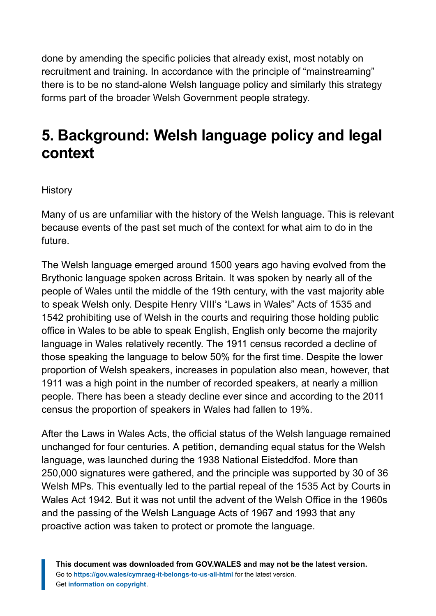done by amending the specific policies that already exist, most notably on recruitment and training. In accordance with the principle of "mainstreaming" there is to be no stand-alone Welsh language policy and similarly this strategy forms part of the broader Welsh Government people strategy.

# <span id="page-14-0"></span>**5. Background: Welsh language policy and legal context**

**History** 

Many of us are unfamiliar with the history of the Welsh language. This is relevant because events of the past set much of the context for what aim to do in the future.

The Welsh language emerged around 1500 years ago having evolved from the Brythonic language spoken across Britain. It was spoken by nearly all of the people of Wales until the middle of the 19th century, with the vast majority able to speak Welsh only. Despite Henry VIII's "Laws in Wales" Acts of 1535 and 1542 prohibiting use of Welsh in the courts and requiring those holding public office in Wales to be able to speak English, English only become the majority language in Wales relatively recently. The 1911 census recorded a decline of those speaking the language to below 50% for the first time. Despite the lower proportion of Welsh speakers, increases in population also mean, however, that 1911 was a high point in the number of recorded speakers, at nearly a million people. There has been a steady decline ever since and according to the 2011 census the proportion of speakers in Wales had fallen to 19%.

After the Laws in Wales Acts, the official status of the Welsh language remained unchanged for four centuries. A petition, demanding equal status for the Welsh language, was launched during the 1938 National Eisteddfod. More than 250,000 signatures were gathered, and the principle was supported by 30 of 36 Welsh MPs. This eventually led to the partial repeal of the 1535 Act by Courts in Wales Act 1942. But it was not until the advent of the Welsh Office in the 1960s and the passing of the Welsh Language Acts of 1967 and 1993 that any proactive action was taken to protect or promote the language.

**This document was downloaded from GOV.WALES and may not be the latest version.** Go to **<https://gov.wales/cymraeg-it-belongs-to-us-all-html>** for the latest version. Get **[information on copyright](https://gov.wales/copyright-statement)**.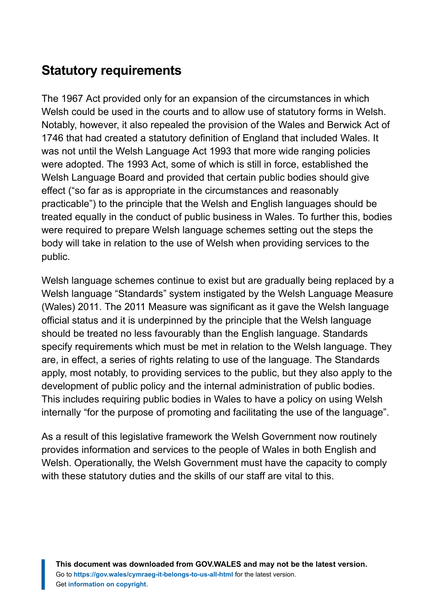#### **Statutory requirements**

The 1967 Act provided only for an expansion of the circumstances in which Welsh could be used in the courts and to allow use of statutory forms in Welsh. Notably, however, it also repealed the provision of the Wales and Berwick Act of 1746 that had created a statutory definition of England that included Wales. It was not until the Welsh Language Act 1993 that more wide ranging policies were adopted. The 1993 Act, some of which is still in force, established the Welsh Language Board and provided that certain public bodies should give effect ("so far as is appropriate in the circumstances and reasonably practicable") to the principle that the Welsh and English languages should be treated equally in the conduct of public business in Wales. To further this, bodies were required to prepare Welsh language schemes setting out the steps the body will take in relation to the use of Welsh when providing services to the public.

Welsh language schemes continue to exist but are gradually being replaced by a Welsh language "Standards" system instigated by the Welsh Language Measure (Wales) 2011. The 2011 Measure was significant as it gave the Welsh language official status and it is underpinned by the principle that the Welsh language should be treated no less favourably than the English language. Standards specify requirements which must be met in relation to the Welsh language. They are, in effect, a series of rights relating to use of the language. The Standards apply, most notably, to providing services to the public, but they also apply to the development of public policy and the internal administration of public bodies. This includes requiring public bodies in Wales to have a policy on using Welsh internally "for the purpose of promoting and facilitating the use of the language".

As a result of this legislative framework the Welsh Government now routinely provides information and services to the people of Wales in both English and Welsh. Operationally, the Welsh Government must have the capacity to comply with these statutory duties and the skills of our staff are vital to this.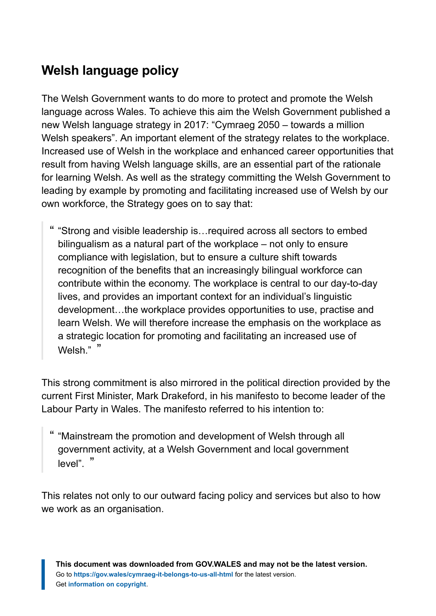## **Welsh language policy**

The Welsh Government wants to do more to protect and promote the Welsh language across Wales. To achieve this aim the Welsh Government published a new Welsh language strategy in 2017: "Cymraeg 2050 – towards a million Welsh speakers". An important element of the strategy relates to the workplace. Increased use of Welsh in the workplace and enhanced career opportunities that result from having Welsh language skills, are an essential part of the rationale for learning Welsh. As well as the strategy committing the Welsh Government to leading by example by promoting and facilitating increased use of Welsh by our own workforce, the Strategy goes on to say that:

" "Strong and visible leadership is…required across all sectors to embed bilingualism as a natural part of the workplace – not only to ensure compliance with legislation, but to ensure a culture shift towards recognition of the benefits that an increasingly bilingual workforce can contribute within the economy. The workplace is central to our day-to-day lives, and provides an important context for an individual's linguistic development…the workplace provides opportunities to use, practise and learn Welsh. We will therefore increase the emphasis on the workplace as a strategic location for promoting and facilitating an increased use of Welsh." "

This strong commitment is also mirrored in the political direction provided by the current First Minister, Mark Drakeford, in his manifesto to become leader of the Labour Party in Wales. The manifesto referred to his intention to:

" "Mainstream the promotion and development of Welsh through all government activity, at a Welsh Government and local government level" "

This relates not only to our outward facing policy and services but also to how we work as an organisation.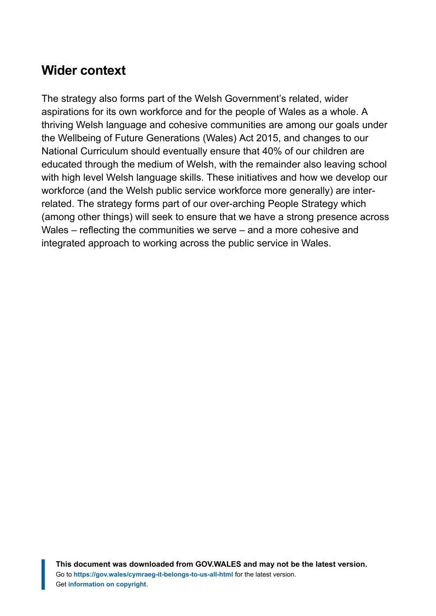#### **Wider context**

The strategy also forms part of the Welsh Government's related, wider aspirations for its own workforce and for the people of Wales as a whole. A thriving Welsh language and cohesive communities are among our goals under the Wellbeing of Future Generations (Wales) Act 2015, and changes to our National Curriculum should eventually ensure that 40% of our children are educated through the medium of Welsh, with the remainder also leaving school with high level Welsh language skills. These initiatives and how we develop our workforce (and the Welsh public service workforce more generally) are interrelated. The strategy forms part of our over-arching People Strategy which (among other things) will seek to ensure that we have a strong presence across Wales – reflecting the communities we serve – and a more cohesive and integrated approach to working across the public service in Wales.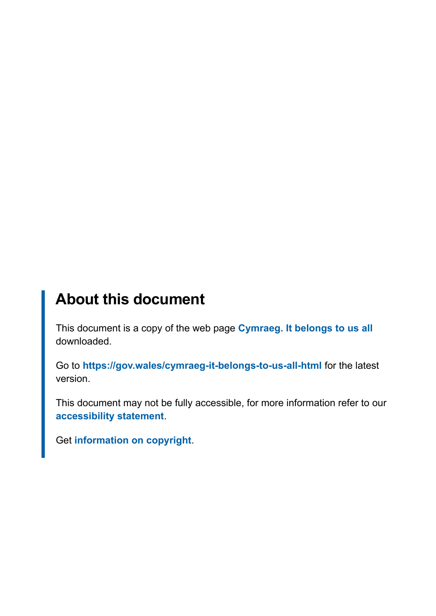## **About this document**

This document is a copy of the web page **[Cymraeg. It belongs to us all](https://gov.wales/cymraeg-it-belongs-to-us-all-html)** downloaded.

Go to **<https://gov.wales/cymraeg-it-belongs-to-us-all-html>** for the latest version.

This document may not be fully accessible, for more information refer to our **[accessibility statement](https://gov.wales/accessibility-statement-govwales)**.

Get **[information on copyright](https://gov.wales/copyright-statement)**.